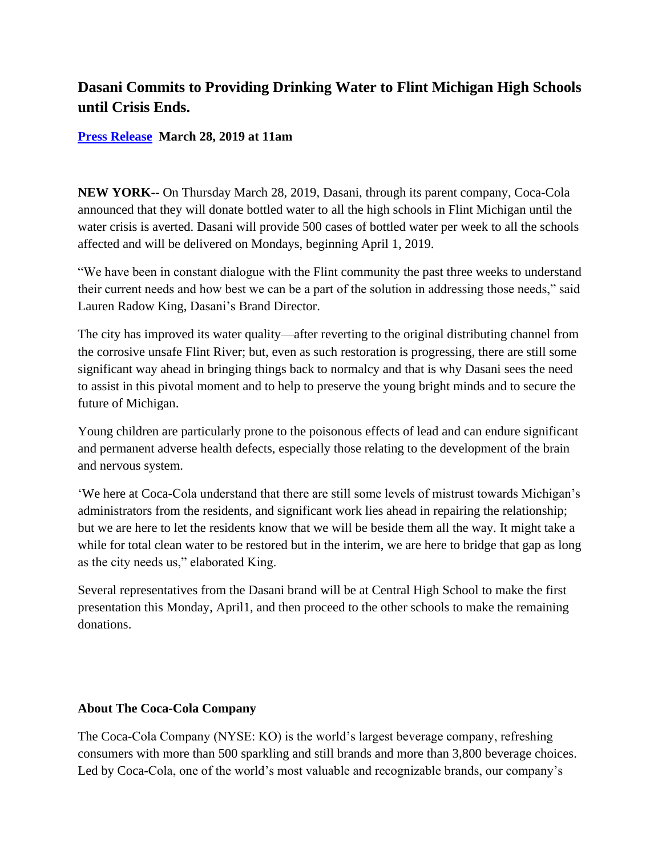## **Dasani Commits to Providing Drinking Water to Flint Michigan High Schools until Crisis Ends.**

## **[Press Release](https://www.bevnet.com/author/press-release/) March 28, 2019 at 11am**

**NEW YORK--** On Thursday March 28, 2019, Dasani, through its parent company, Coca-Cola announced that they will donate bottled water to all the high schools in Flint Michigan until the water crisis is averted. Dasani will provide 500 cases of bottled water per week to all the schools affected and will be delivered on Mondays, beginning April 1, 2019.

"We have been in constant dialogue with the Flint community the past three weeks to understand their current needs and how best we can be a part of the solution in addressing those needs," said Lauren Radow King, Dasani's Brand Director.

The city has improved its water quality—after reverting to the original distributing channel from the corrosive unsafe Flint River; but, even as such restoration is progressing, there are still some significant way ahead in bringing things back to normalcy and that is why Dasani sees the need to assist in this pivotal moment and to help to preserve the young bright minds and to secure the future of Michigan.

Young children are particularly prone to the poisonous effects of lead and can endure significant and permanent adverse health defects, especially those relating to the development of the brain and nervous system.

'We here at Coca-Cola understand that there are still some levels of mistrust towards Michigan's administrators from the residents, and significant work lies ahead in repairing the relationship; but we are here to let the residents know that we will be beside them all the way. It might take a while for total clean water to be restored but in the interim, we are here to bridge that gap as long as the city needs us," elaborated King.

Several representatives from the Dasani brand will be at Central High School to make the first presentation this Monday, April1, and then proceed to the other schools to make the remaining donations.

## **About The Coca-Cola Company**

The Coca-Cola Company (NYSE: KO) is the world's largest beverage company, refreshing consumers with more than 500 sparkling and still brands and more than 3,800 beverage choices. Led by Coca-Cola, one of the world's most valuable and recognizable brands, our company's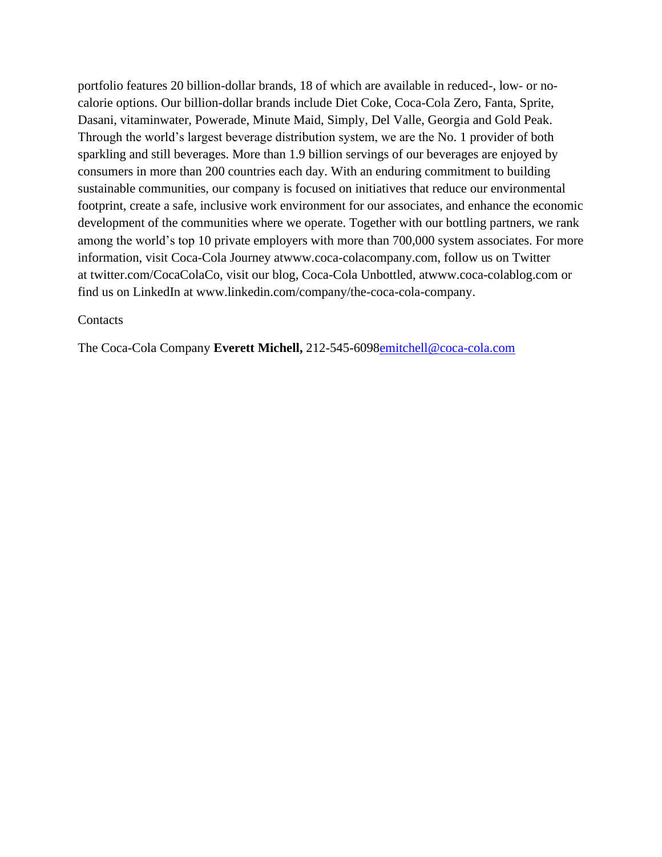portfolio features 20 billion-dollar brands, 18 of which are available in reduced-, low- or nocalorie options. Our billion-dollar brands include Diet Coke, Coca-Cola Zero, Fanta, Sprite, Dasani, vitaminwater, Powerade, Minute Maid, Simply, Del Valle, Georgia and Gold Peak. Through the world's largest beverage distribution system, we are the No. 1 provider of both sparkling and still beverages. More than 1.9 billion servings of our beverages are enjoyed by consumers in more than 200 countries each day. With an enduring commitment to building sustainable communities, our company is focused on initiatives that reduce our environmental footprint, create a safe, inclusive work environment for our associates, and enhance the economic development of the communities where we operate. Together with our bottling partners, we rank among the world's top 10 private employers with more than 700,000 system associates. For more information, visit Coca-Cola Journey atwww.coca-colacompany.com, follow us on Twitter at twitter.com/CocaColaCo, visit our blog, Coca-Cola Unbottled, atwww.coca-colablog.com or find us on LinkedIn at www.linkedin.com/company/the-coca-cola-company.

## **Contacts**

The Coca-Cola Company **Everett Michell,** 212-545-609[8emitchell@coca-cola.com](mailto:emitchell@coca-cola.com)